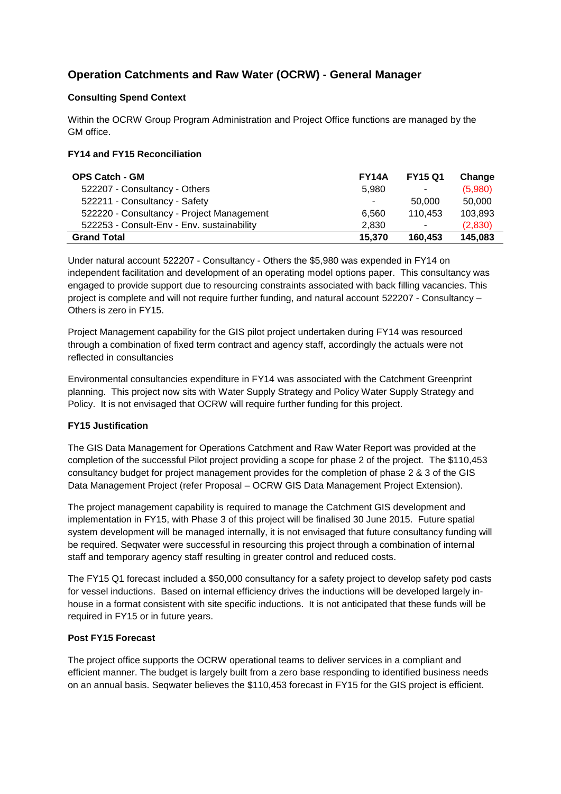# **Operation Catchments and Raw Water (OCRW) - General Manager**

# **Consulting Spend Context**

Within the OCRW Group Program Administration and Project Office functions are managed by the GM office.

## **FY14 and FY15 Reconciliation**

| <b>OPS Catch - GM</b>                      | <b>FY14A</b> | <b>FY15 Q1</b> | Change  |
|--------------------------------------------|--------------|----------------|---------|
| 522207 - Consultancy - Others              | 5.980        | $\sim$         | (5,980) |
| 522211 - Consultancy - Safety              | ۰.           | 50.000         | 50,000  |
| 522220 - Consultancy - Project Management  | 6.560        | 110.453        | 103,893 |
| 522253 - Consult-Env - Env. sustainability | 2.830        | $\sim$         | (2,830) |
| <b>Grand Total</b>                         | 15,370       | 160.453        | 145,083 |

Under natural account 522207 - Consultancy - Others the \$5,980 was expended in FY14 on independent facilitation and development of an operating model options paper. This consultancy was engaged to provide support due to resourcing constraints associated with back filling vacancies. This project is complete and will not require further funding, and natural account 522207 - Consultancy – Others is zero in FY15.

Project Management capability for the GIS pilot project undertaken during FY14 was resourced through a combination of fixed term contract and agency staff, accordingly the actuals were not reflected in consultancies

Environmental consultancies expenditure in FY14 was associated with the Catchment Greenprint planning. This project now sits with Water Supply Strategy and Policy Water Supply Strategy and Policy. It is not envisaged that OCRW will require further funding for this project.

### **FY15 Justification**

The GIS Data Management for Operations Catchment and Raw Water Report was provided at the completion of the successful Pilot project providing a scope for phase 2 of the project. The \$110,453 consultancy budget for project management provides for the completion of phase 2 & 3 of the GIS Data Management Project (refer Proposal – OCRW GIS Data Management Project Extension).

The project management capability is required to manage the Catchment GIS development and implementation in FY15, with Phase 3 of this project will be finalised 30 June 2015. Future spatial system development will be managed internally, it is not envisaged that future consultancy funding will be required. Seqwater were successful in resourcing this project through a combination of internal staff and temporary agency staff resulting in greater control and reduced costs.

The FY15 Q1 forecast included a \$50,000 consultancy for a safety project to develop safety pod casts for vessel inductions. Based on internal efficiency drives the inductions will be developed largely inhouse in a format consistent with site specific inductions. It is not anticipated that these funds will be required in FY15 or in future years.

### **Post FY15 Forecast**

The project office supports the OCRW operational teams to deliver services in a compliant and efficient manner. The budget is largely built from a zero base responding to identified business needs on an annual basis. Seqwater believes the \$110,453 forecast in FY15 for the GIS project is efficient.